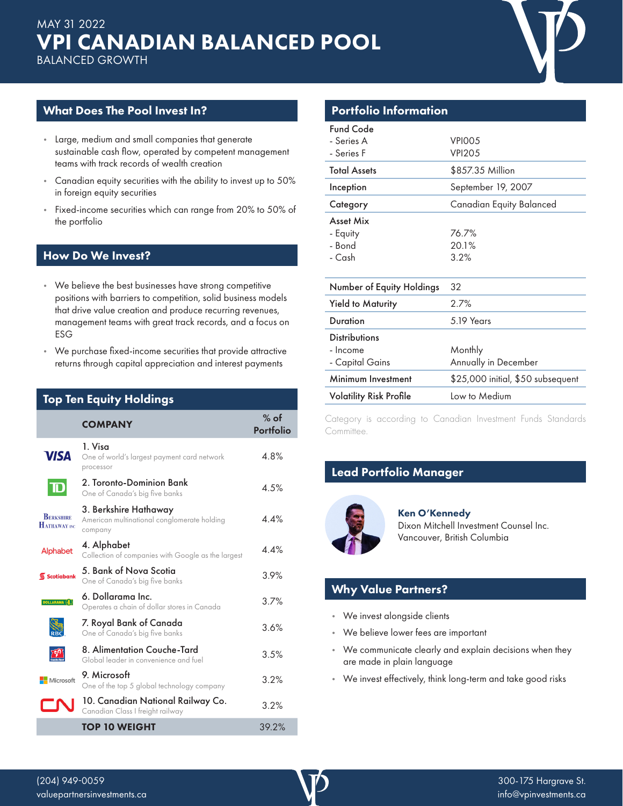

## What Does The Pool Invest In?

- Large, medium and small companies that generate sustainable cash flow, operated by competent management teams with track records of wealth creation
- Canadian equity securities with the ability to invest up to 50% in foreign equity securities
- Fixed-income securities which can range from 20% to 50% of the portfolio

#### How Do We Invest?

- We believe the best businesses have strong competitive positions with barriers to competition, solid business models that drive value creation and produce recurring revenues, management teams with great track records, and a focus on ESG
- We purchase fixed-income securities that provide attractive returns through capital appreciation and interest payments

# Top Ten Equity Holdings

|                                   | <b>COMPANY</b>                                                                  | $%$ of<br><b>Portfolio</b> |
|-----------------------------------|---------------------------------------------------------------------------------|----------------------------|
| <b>VISA</b>                       | 1. Visa<br>One of world's largest payment card network<br>processor             | 4.8%                       |
| $\mathbf T$                       | 2. Toronto-Dominion Bank<br>One of Canada's big five banks                      | 4.5%                       |
| <b>BERKSHIRE</b><br>HATHAWAY INC. | 3. Berkshire Hathaway<br>American multinational conglomerate holding<br>company | 4.4%                       |
| Alphabet                          | 4. Alphabet<br>Collection of companies with Google as the largest               | 44%                        |
| Scotiabank                        | 5. Bank of Nova Scotia<br>One of Canada's big five banks                        | 3.9%                       |
| <b>DOLLARAMA</b> (s)              | 6. Dollarama Inc.<br>Operates a chain of dollar stores in Canada                | 3.7%                       |
|                                   | 7. Royal Bank of Canada<br>One of Canada's big five banks                       | 3.6%                       |
|                                   | 8. Alimentation Couche-Tard<br>Global leader in convenience and fuel            | 3.5%                       |
| Microsoft                         | 9. Microsoft<br>One of the top 5 global technology company                      | 3.2%                       |
|                                   | 10. Canadian National Railway Co.<br>Canadian Class I freight railway           | 3.2%                       |
|                                   | <b>TOP 10 WEIGHT</b>                                                            | 39.2%                      |

# Portfolio Information

| <b>Fund Code</b>               |                                   |
|--------------------------------|-----------------------------------|
| - Series A                     | VPIOO <sub>5</sub>                |
| - Series F                     | <b>VPI205</b>                     |
| <b>Total Assets</b>            | \$857.35 Million                  |
| Inception                      | September 19, 2007                |
| Category                       | Canadian Equity Balanced          |
| Asset Mix                      |                                   |
| - Equity                       | 76.7%                             |
| - Bond                         | 20.1%                             |
| - Cash                         | 3.2%                              |
|                                |                                   |
| Number of Equity Holdings      | 32                                |
| <b>Yield to Maturity</b>       | 2.7%                              |
| Duration                       | 5.19 Years                        |
| <b>Distributions</b>           |                                   |
| - Income                       | Monthly                           |
| - Capital Gains                | Annually in December              |
| Minimum Investment             | \$25,000 initial, \$50 subsequent |
| <b>Volatility Risk Profile</b> | Low to Medium                     |

Category is according to Canadian Investment Funds Standards Committee.

# Lead Portfolio Manager



Ken O'Kennedy Dixon Mitchell Investment Counsel Inc. Vancouver, British Columbia

#### Why Value Partners?

- We invest alongside clients
- We believe lower fees are important
- We communicate clearly and explain decisions when they are made in plain language
- We invest effectively, think long-term and take good risks